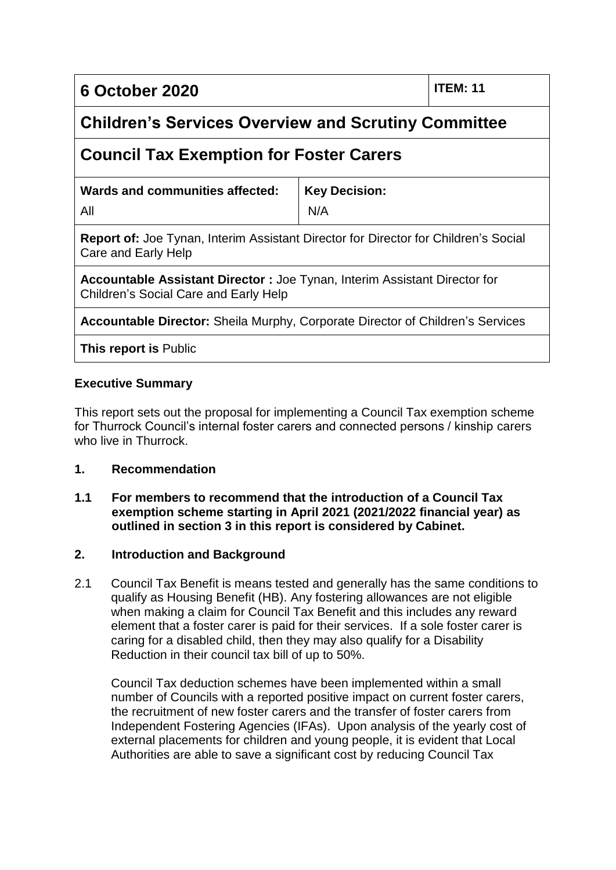## **6 October 2020 ITEM: 11**

## **Children's Services Overview and Scrutiny Committee**

## **Council Tax Exemption for Foster Carers**

| Wards and communities affected: | Key Decision: |
|---------------------------------|---------------|
| All                             | N/A           |

**Report of:** Joe Tynan, Interim Assistant Director for Director for Children's Social Care and Early Help

**Accountable Assistant Director :** Joe Tynan, Interim Assistant Director for Children's Social Care and Early Help

**Accountable Director:** Sheila Murphy, Corporate Director of Children's Services

**This report is** Public

#### **Executive Summary**

This report sets out the proposal for implementing a Council Tax exemption scheme for Thurrock Council's internal foster carers and connected persons / kinship carers who live in Thurrock

#### **1. Recommendation**

#### **1.1 For members to recommend that the introduction of a Council Tax exemption scheme starting in April 2021 (2021/2022 financial year) as outlined in section 3 in this report is considered by Cabinet.**

#### **2. Introduction and Background**

2.1 Council Tax Benefit is means tested and generally has the same conditions to qualify as Housing Benefit (HB). Any fostering allowances are not eligible when making a claim for Council Tax Benefit and this includes any reward element that a foster carer is paid for their services. If a sole foster carer is caring for a disabled child, then they may also qualify for a Disability Reduction in their council tax bill of up to 50%.

Council Tax deduction schemes have been implemented within a small number of Councils with a reported positive impact on current foster carers, the recruitment of new foster carers and the transfer of foster carers from Independent Fostering Agencies (IFAs). Upon analysis of the yearly cost of external placements for children and young people, it is evident that Local Authorities are able to save a significant cost by reducing Council Tax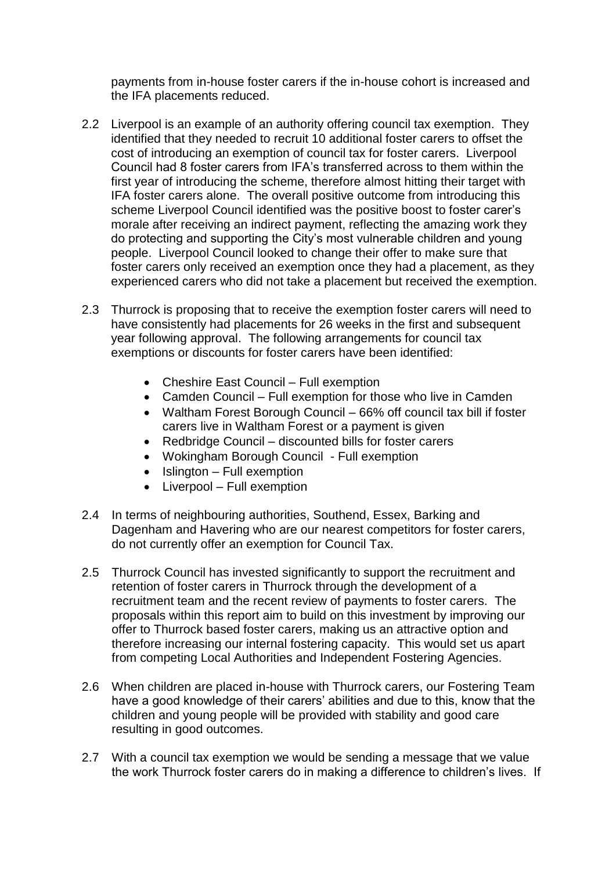payments from in-house foster carers if the in-house cohort is increased and the IFA placements reduced.

- 2.2 Liverpool is an example of an authority offering council tax exemption. They identified that they needed to recruit 10 additional foster carers to offset the cost of introducing an exemption of council tax for foster carers. Liverpool Council had 8 foster carers from IFA's transferred across to them within the first year of introducing the scheme, therefore almost hitting their target with IFA foster carers alone. The overall positive outcome from introducing this scheme Liverpool Council identified was the positive boost to foster carer's morale after receiving an indirect payment, reflecting the amazing work they do protecting and supporting the City's most vulnerable children and young people. Liverpool Council looked to change their offer to make sure that foster carers only received an exemption once they had a placement, as they experienced carers who did not take a placement but received the exemption.
- 2.3 Thurrock is proposing that to receive the exemption foster carers will need to have consistently had placements for 26 weeks in the first and subsequent year following approval. The following arrangements for council tax exemptions or discounts for foster carers have been identified:
	- Cheshire East Council Full exemption
	- Camden Council Full exemption for those who live in Camden
	- Waltham Forest Borough Council 66% off council tax bill if foster carers live in Waltham Forest or a payment is given
	- Redbridge Council discounted bills for foster carers
	- Wokingham Borough Council Full exemption
	- $\bullet$  Islington Full exemption
	- Liverpool Full exemption
- 2.4 In terms of neighbouring authorities, Southend, Essex, Barking and Dagenham and Havering who are our nearest competitors for foster carers, do not currently offer an exemption for Council Tax.
- 2.5 Thurrock Council has invested significantly to support the recruitment and retention of foster carers in Thurrock through the development of a recruitment team and the recent review of payments to foster carers. The proposals within this report aim to build on this investment by improving our offer to Thurrock based foster carers, making us an attractive option and therefore increasing our internal fostering capacity. This would set us apart from competing Local Authorities and Independent Fostering Agencies.
- 2.6 When children are placed in-house with Thurrock carers, our Fostering Team have a good knowledge of their carers' abilities and due to this, know that the children and young people will be provided with stability and good care resulting in good outcomes.
- 2.7 With a council tax exemption we would be sending a message that we value the work Thurrock foster carers do in making a difference to children's lives. If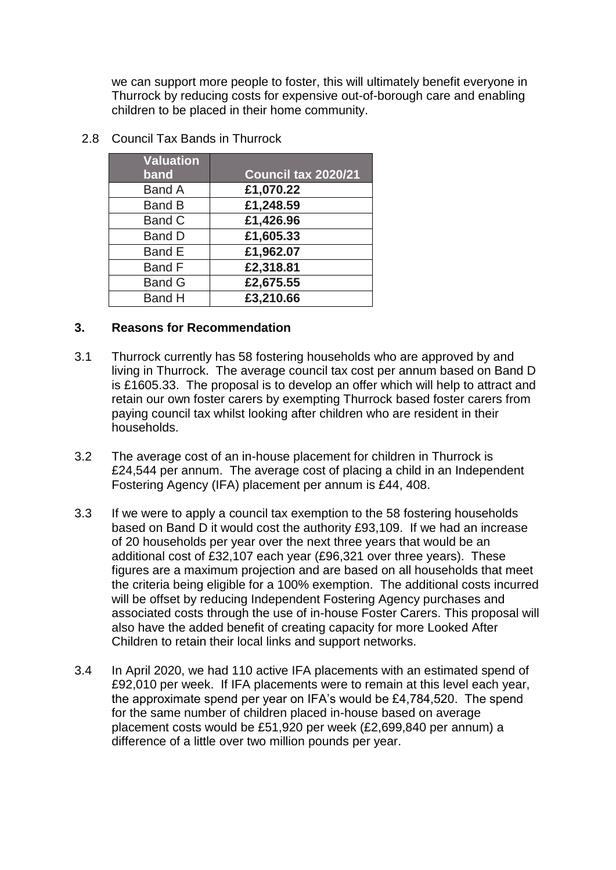we can support more people to foster, this will ultimately benefit everyone in Thurrock by reducing costs for expensive out-of-borough care and enabling children to be placed in their home community.

| <b>Valuation</b> |                     |
|------------------|---------------------|
| band             | Council tax 2020/21 |
| <b>Band A</b>    | £1,070.22           |
| <b>Band B</b>    | £1,248.59           |
| <b>Band C</b>    | £1,426.96           |
| <b>Band D</b>    | £1,605.33           |
| <b>Band E</b>    | £1,962.07           |
| <b>Band F</b>    | £2,318.81           |
| <b>Band G</b>    | £2,675.55           |
| <b>Band H</b>    | £3,210.66           |

2.8 Council Tax Bands in Thurrock

#### **3. Reasons for Recommendation**

- 3.1 Thurrock currently has 58 fostering households who are approved by and living in Thurrock. The average council tax cost per annum based on Band D is £1605.33. The proposal is to develop an offer which will help to attract and retain our own foster carers by exempting Thurrock based foster carers from paying council tax whilst looking after children who are resident in their households.
- 3.2 The average cost of an in-house placement for children in Thurrock is £24,544 per annum. The average cost of placing a child in an Independent Fostering Agency (IFA) placement per annum is £44, 408.
- 3.3 If we were to apply a council tax exemption to the 58 fostering households based on Band D it would cost the authority £93,109. If we had an increase of 20 households per year over the next three years that would be an additional cost of £32,107 each year (£96,321 over three years). These figures are a maximum projection and are based on all households that meet the criteria being eligible for a 100% exemption. The additional costs incurred will be offset by reducing Independent Fostering Agency purchases and associated costs through the use of in-house Foster Carers. This proposal will also have the added benefit of creating capacity for more Looked After Children to retain their local links and support networks.
- 3.4 In April 2020, we had 110 active IFA placements with an estimated spend of £92,010 per week. If IFA placements were to remain at this level each year, the approximate spend per year on IFA's would be £4,784,520. The spend for the same number of children placed in-house based on average placement costs would be £51,920 per week (£2,699,840 per annum) a difference of a little over two million pounds per year.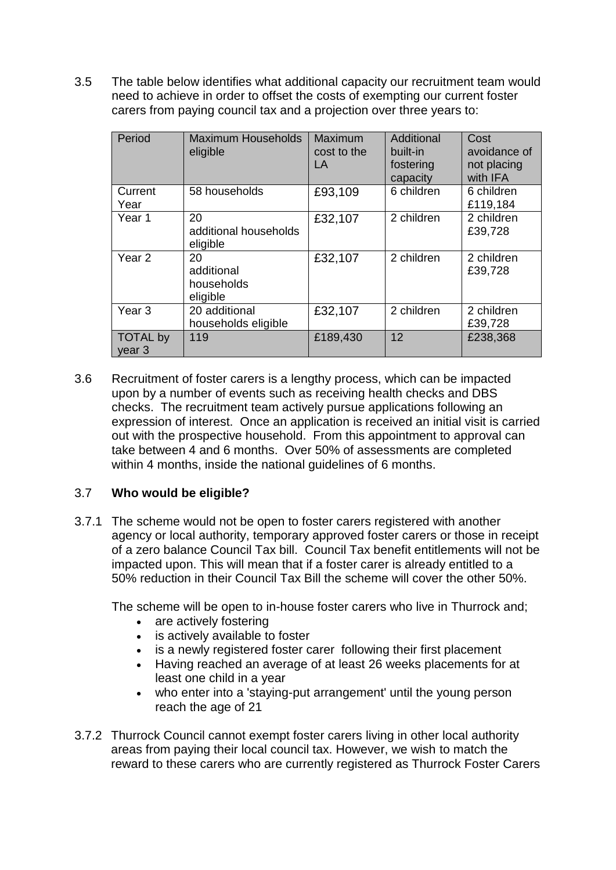3.5 The table below identifies what additional capacity our recruitment team would need to achieve in order to offset the costs of exempting our current foster carers from paying council tax and a projection over three years to:

| Period                               | <b>Maximum Households</b><br>eligible      | Maximum<br>cost to the<br>LA | Additional<br>built-in<br>fostering<br>capacity | Cost<br>avoidance of<br>not placing<br>with IFA |
|--------------------------------------|--------------------------------------------|------------------------------|-------------------------------------------------|-------------------------------------------------|
| Current<br>Year                      | 58 households                              | £93,109                      | 6 children                                      | 6 children<br>£119,184                          |
| Year <sub>1</sub>                    | 20<br>additional households<br>eligible    | £32,107                      | 2 children                                      | 2 children<br>£39,728                           |
| Year <sub>2</sub>                    | 20<br>additional<br>households<br>eligible | £32,107                      | 2 children                                      | 2 children<br>£39,728                           |
| Year <sub>3</sub>                    | 20 additional<br>households eligible       | £32,107                      | 2 children                                      | 2 children<br>£39,728                           |
| <b>TOTAL by</b><br>year <sub>3</sub> | 119                                        | £189,430                     | 12                                              | £238,368                                        |

3.6 Recruitment of foster carers is a lengthy process, which can be impacted upon by a number of events such as receiving health checks and DBS checks. The recruitment team actively pursue applications following an expression of interest. Once an application is received an initial visit is carried out with the prospective household. From this appointment to approval can take between 4 and 6 months. Over 50% of assessments are completed within 4 months, inside the national guidelines of 6 months.

#### 3.7 **Who would be eligible?**

3.7.1 The scheme would not be open to foster carers registered with another agency or local authority, temporary approved foster carers or those in receipt of a zero balance Council Tax bill. Council Tax benefit entitlements will not be impacted upon. This will mean that if a foster carer is already entitled to a 50% reduction in their Council Tax Bill the scheme will cover the other 50%.

The scheme will be open to in-house foster carers who live in Thurrock and;

- are actively fostering
- is actively available to foster
- is a newly registered foster carer following their first placement
- Having reached an average of at least 26 weeks placements for at least one child in a year
- who enter into a 'staying-put arrangement' until the young person reach the age of 21
- 3.7.2 Thurrock Council cannot exempt foster carers living in other local authority areas from paying their local council tax. However, we wish to match the reward to these carers who are currently registered as Thurrock Foster Carers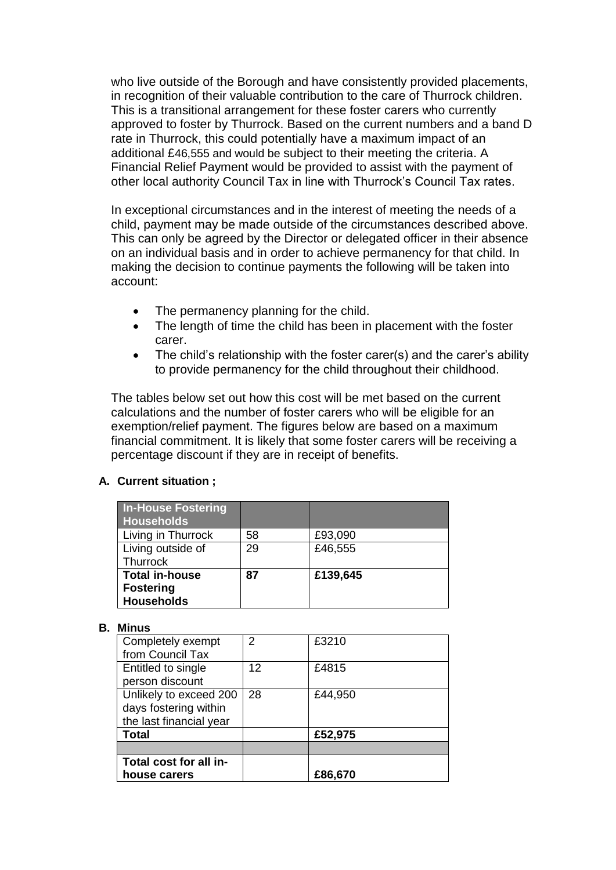who live outside of the Borough and have consistently provided placements, in recognition of their valuable contribution to the care of Thurrock children. This is a transitional arrangement for these foster carers who currently approved to foster by Thurrock. Based on the current numbers and a band D rate in Thurrock, this could potentially have a maximum impact of an additional £46,555 and would be subject to their meeting the criteria. A Financial Relief Payment would be provided to assist with the payment of other local authority Council Tax in line with Thurrock's Council Tax rates.

In exceptional circumstances and in the interest of meeting the needs of a child, payment may be made outside of the circumstances described above. This can only be agreed by the Director or delegated officer in their absence on an individual basis and in order to achieve permanency for that child. In making the decision to continue payments the following will be taken into account:

- The permanency planning for the child.
- The length of time the child has been in placement with the foster carer.
- The child's relationship with the foster carer(s) and the carer's ability to provide permanency for the child throughout their childhood.

The tables below set out how this cost will be met based on the current calculations and the number of foster carers who will be eligible for an exemption/relief payment. The figures below are based on a maximum financial commitment. It is likely that some foster carers will be receiving a percentage discount if they are in receipt of benefits.

#### **A. Current situation ;**

| <b>In-House Fostering</b><br><b>Households</b>                 |    |          |
|----------------------------------------------------------------|----|----------|
| Living in Thurrock                                             | 58 | £93,090  |
| Living outside of<br>Thurrock                                  | 29 | £46,555  |
| <b>Total in-house</b><br><b>Fostering</b><br><b>Households</b> | 87 | £139,645 |

#### **B. Minus**

| Completely exempt       | $\mathcal{P}$ | £3210   |
|-------------------------|---------------|---------|
| from Council Tax        |               |         |
| Entitled to single      | 12            | £4815   |
| person discount         |               |         |
| Unlikely to exceed 200  | 28            | £44,950 |
| days fostering within   |               |         |
| the last financial year |               |         |
| <b>Total</b>            |               | £52,975 |
|                         |               |         |
| Total cost for all in-  |               |         |
| house carers            |               | £86,670 |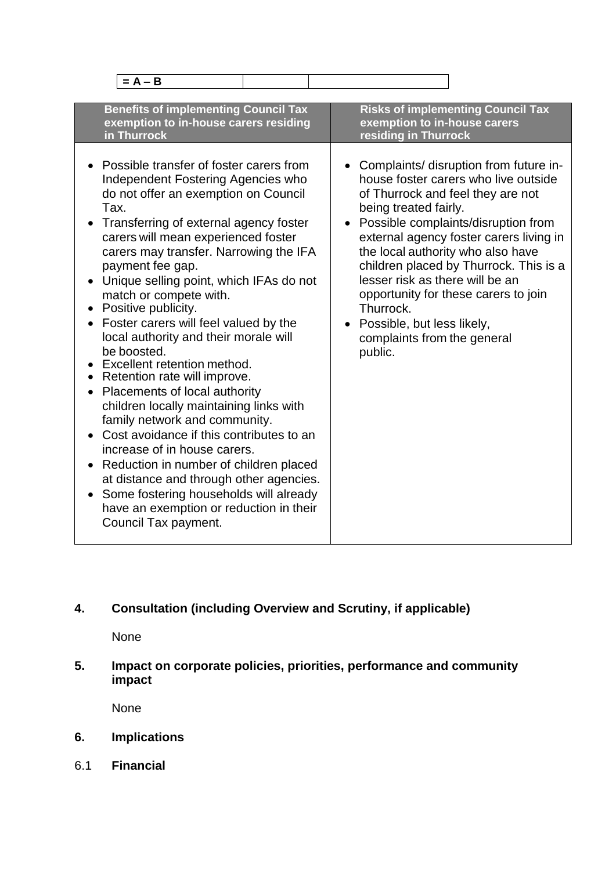| $= A - B$                                                                                                                                                                                                                                                                                                                                                                                                                                                                                                                                                                                                                                                                                                                                                                                                                                                                                                                                                     |                                                                                                                                                                                                                                                                                                                                                                                                                                                                                                         |
|---------------------------------------------------------------------------------------------------------------------------------------------------------------------------------------------------------------------------------------------------------------------------------------------------------------------------------------------------------------------------------------------------------------------------------------------------------------------------------------------------------------------------------------------------------------------------------------------------------------------------------------------------------------------------------------------------------------------------------------------------------------------------------------------------------------------------------------------------------------------------------------------------------------------------------------------------------------|---------------------------------------------------------------------------------------------------------------------------------------------------------------------------------------------------------------------------------------------------------------------------------------------------------------------------------------------------------------------------------------------------------------------------------------------------------------------------------------------------------|
| <b>Benefits of implementing Council Tax</b><br>exemption to in-house carers residing<br>in Thurrock                                                                                                                                                                                                                                                                                                                                                                                                                                                                                                                                                                                                                                                                                                                                                                                                                                                           | <b>Risks of implementing Council Tax</b><br>exemption to in-house carers<br>residing in Thurrock                                                                                                                                                                                                                                                                                                                                                                                                        |
| Possible transfer of foster carers from<br>Independent Fostering Agencies who<br>do not offer an exemption on Council<br>Tax.<br>Transferring of external agency foster<br>carers will mean experienced foster<br>carers may transfer. Narrowing the IFA<br>payment fee gap.<br>Unique selling point, which IFAs do not<br>match or compete with.<br>Positive publicity.<br>Foster carers will feel valued by the<br>local authority and their morale will<br>be boosted.<br>Excellent retention method.<br>Retention rate will improve.<br>Placements of local authority<br>$\bullet$<br>children locally maintaining links with<br>family network and community.<br>Cost avoidance if this contributes to an<br>increase of in house carers.<br>Reduction in number of children placed<br>$\bullet$<br>at distance and through other agencies.<br>Some fostering households will already<br>have an exemption or reduction in their<br>Council Tax payment. | Complaints/ disruption from future in-<br>$\bullet$<br>house foster carers who live outside<br>of Thurrock and feel they are not<br>being treated fairly.<br>Possible complaints/disruption from<br>$\bullet$<br>external agency foster carers living in<br>the local authority who also have<br>children placed by Thurrock. This is a<br>lesser risk as there will be an<br>opportunity for these carers to join<br>Thurrock.<br>Possible, but less likely,<br>complaints from the general<br>public. |

## **4. Consultation (including Overview and Scrutiny, if applicable)**

None

**5. Impact on corporate policies, priorities, performance and community impact**

None

- **6. Implications**
- 6.1 **Financial**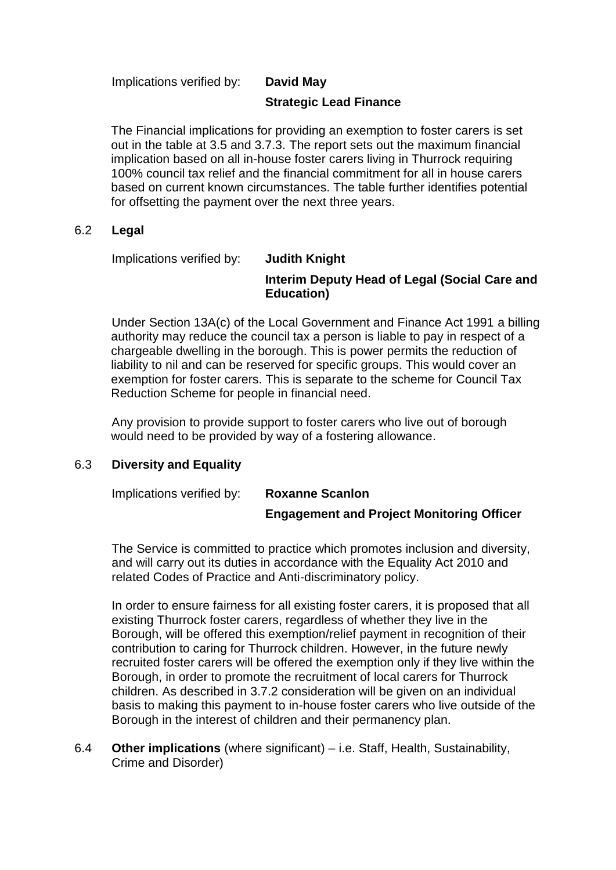Implications verified by: **David May**

**Strategic Lead Finance** 

The Financial implications for providing an exemption to foster carers is set out in the table at 3.5 and 3.7.3. The report sets out the maximum financial implication based on all in-house foster carers living in Thurrock requiring 100% council tax relief and the financial commitment for all in house carers based on current known circumstances. The table further identifies potential for offsetting the payment over the next three years.

#### 6.2 **Legal**

Implications verified by: **Judith Knight** 

# **Interim Deputy Head of Legal (Social Care and Education)**

Under Section 13A(c) of the Local Government and Finance Act 1991 a billing authority may reduce the council tax a person is liable to pay in respect of a chargeable dwelling in the borough. This is power permits the reduction of liability to nil and can be reserved for specific groups. This would cover an exemption for foster carers. This is separate to the scheme for Council Tax Reduction Scheme for people in financial need.

Any provision to provide support to foster carers who live out of borough would need to be provided by way of a fostering allowance.

#### 6.3 **Diversity and Equality**

Implications verified by: **Roxanne Scanlon Engagement and Project Monitoring Officer**

The Service is committed to practice which promotes inclusion and diversity, and will carry out its duties in accordance with the Equality Act 2010 and related Codes of Practice and Anti-discriminatory policy.

In order to ensure fairness for all existing foster carers, it is proposed that all existing Thurrock foster carers, regardless of whether they live in the Borough, will be offered this exemption/relief payment in recognition of their contribution to caring for Thurrock children. However, in the future newly recruited foster carers will be offered the exemption only if they live within the Borough, in order to promote the recruitment of local carers for Thurrock children. As described in 3.7.2 consideration will be given on an individual basis to making this payment to in-house foster carers who live outside of the Borough in the interest of children and their permanency plan.

6.4 **Other implications** (where significant) – i.e. Staff, Health, Sustainability, Crime and Disorder)